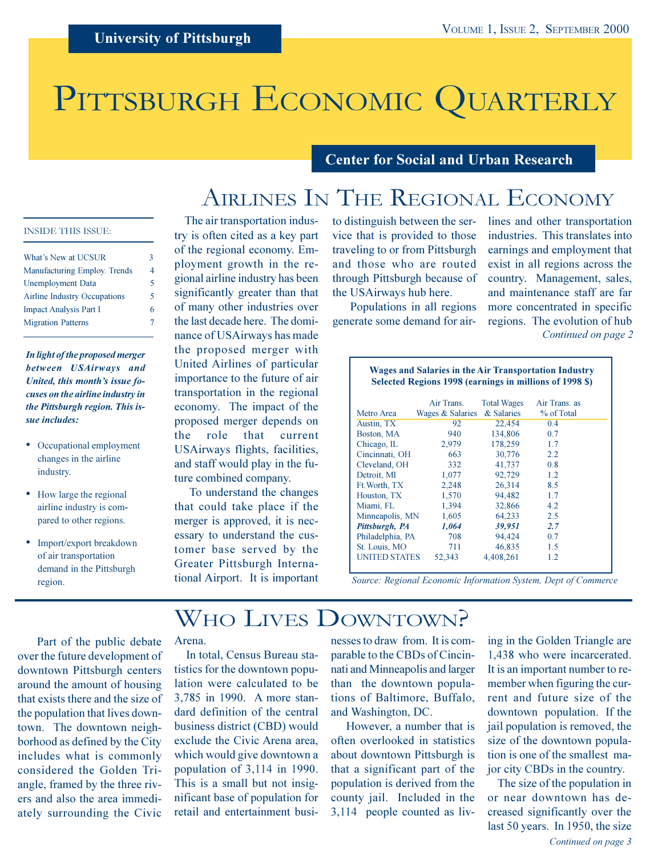# PITTSBURGH ECONOMIC QUARTERLY

### **Center for Social and Urban Research**

# AIRLINES IN THE REGIONAL ECONOMY

### **INSIDE THIS ISSUE:**

| What's New at UCSUR                 | 3  |
|-------------------------------------|----|
| Manufacturing Employ. Trends        | 4  |
| <b>Unemployment Data</b>            | 5. |
| <b>Airline Industry Occupations</b> | 5. |
| <b>Impact Analysis Part I</b>       | 6  |
| <b>Migration Patterns</b>           |    |

In light of the proposed merger between USAirways and United, this month's issue focuses on the airline industry in the Pittsburgh region. This issue includes:

- Occupational employment changes in the airline industry.
- How large the regional airline industry is compared to other regions.
- Import/export breakdown of air transportation demand in the Pittsburgh region.

The air transportation industry is often cited as a key part of the regional economy. Employment growth in the regional airline industry has been significantly greater than that of many other industries over the last decade here. The dominance of USAirways has made the proposed merger with United Airlines of particular importance to the future of air transportation in the regional economy. The impact of the proposed merger depends on that the role current USAirways flights, facilities, and staff would play in the future combined company.

To understand the changes that could take place if the merger is approved, it is necessary to understand the customer base served by the Greater Pittsburgh International Airport. It is important

to distinguish between the service that is provided to those traveling to or from Pittsburgh and those who are routed through Pittsburgh because of the USAirways hub here.

Populations in all regions generate some demand for airlines and other transportation industries. This translates into earnings and employment that exist in all regions across the country. Management, sales, and maintenance staff are far more concentrated in specific regions. The evolution of hub Continued on page 2

| <b>Wages and Salaries in the Air Transportation Industry</b><br>Selected Regions 1998 (earnings in millions of 1998 \$) |                  |                    |               |  |  |  |  |
|-------------------------------------------------------------------------------------------------------------------------|------------------|--------------------|---------------|--|--|--|--|
|                                                                                                                         | Air Trans.       | <b>Total Wages</b> | Air Trans. as |  |  |  |  |
| Metro Area                                                                                                              | Wages & Salaries | & Salaries         | % of Total    |  |  |  |  |
| Austin, TX                                                                                                              | 92               | 22,454             | 0.4           |  |  |  |  |
| Boston, MA                                                                                                              | 940              | 134,806            | 0.7           |  |  |  |  |
| Chicago, IL                                                                                                             | 2,979            | 178,259            | 1.7           |  |  |  |  |
| Cincinnati, OH                                                                                                          | 663              | 30,776             | 2.2           |  |  |  |  |
| Cleveland, OH                                                                                                           | 332              | 41,737             | 0.8           |  |  |  |  |
| Detroit, MI                                                                                                             | 1,077            | 92,729             | 1.2           |  |  |  |  |
| Ft. Worth, TX                                                                                                           | 2,248            | 26,314             | 8.5           |  |  |  |  |
| Houston, TX                                                                                                             | 1,570            | 94,482             | 1.7           |  |  |  |  |
| Miami, FL                                                                                                               | 1,394            | 32,866             | 4.2           |  |  |  |  |
| Minneapolis, MN                                                                                                         | 1,605            | 64,233             | 2.5           |  |  |  |  |
| Pittsburgh, PA                                                                                                          | 1,064            | 39,951             | 2.7           |  |  |  |  |
| Philadelphia, PA                                                                                                        | 708              | 94,424             | 0.7           |  |  |  |  |
| St. Louis, MO                                                                                                           | 711              | 46,835             | 1.5           |  |  |  |  |
| <b>UNITED STATES</b>                                                                                                    | 52,343           | 4.408.261          | 1.2           |  |  |  |  |

Source: Regional Economic Information System, Dept of Commerce

# WHO LIVES DOWNTOWN?

Part of the public debate over the future development of downtown Pittsburgh centers around the amount of housing that exists there and the size of the population that lives downtown. The downtown neighborhood as defined by the City includes what is commonly considered the Golden Triangle, framed by the three rivers and also the area immediately surrounding the Civic

### Arena.

In total, Census Bureau statistics for the downtown population were calculated to be 3,785 in 1990. A more standard definition of the central business district (CBD) would exclude the Civic Arena area, which would give downtown a population of 3,114 in 1990. This is a small but not insignificant base of population for retail and entertainment businesses to draw from. It is comparable to the CBDs of Cincinnati and Minneapolis and larger than the downtown populations of Baltimore, Buffalo, and Washington, DC.

However, a number that is often overlooked in statistics about downtown Pittsburgh is that a significant part of the population is derived from the county jail. Included in the 3,114 people counted as liv-

ing in the Golden Triangle are 1,438 who were incarcerated. It is an important number to remember when figuring the current and future size of the downtown population. If the jail population is removed, the size of the downtown population is one of the smallest major city CBDs in the country.

The size of the population in or near downtown has decreased significantly over the last 50 years. In 1950, the size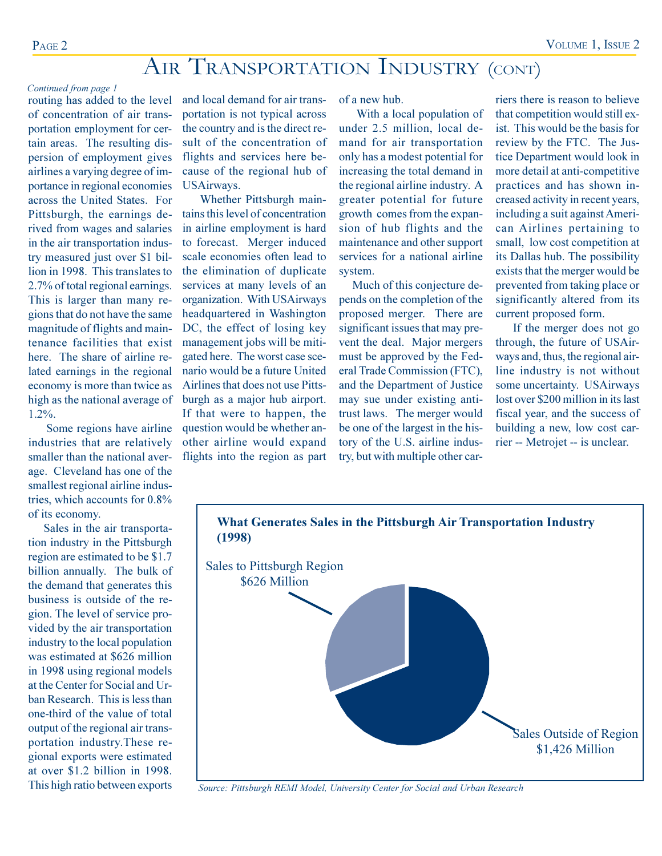# AIR TRANSPORTATION INDUSTRY (CONT)

### Continued from page 1

routing has added to the level of concentration of air transportation employment for certain areas. The resulting dispersion of employment gives airlines a varying degree of importance in regional economies across the United States. For Pittsburgh, the earnings derived from wages and salaries in the air transportation industry measured just over \$1 billion in 1998. This translates to 2.7% of total regional earnings. This is larger than many regions that do not have the same magnitude of flights and maintenance facilities that exist here. The share of airline related earnings in the regional economy is more than twice as high as the national average of  $1.2\%$ .

Some regions have airline industries that are relatively smaller than the national average. Cleveland has one of the smallest regional airline industries, which accounts for  $0.8\%$ of its economy.

Sales in the air transportation industry in the Pittsburgh region are estimated to be \$1.7 billion annually. The bulk of the demand that generates this business is outside of the region. The level of service provided by the air transportation industry to the local population was estimated at \$626 million in 1998 using regional models at the Center for Social and Urban Research. This is less than one-third of the value of total output of the regional air transportation industry. These regional exports were estimated at over \$1.2 billion in 1998. This high ratio between exports

and local demand for air transportation is not typical across the country and is the direct result of the concentration of flights and services here because of the regional hub of **USAirways.** 

Whether Pittsburgh maintains this level of concentration in airline employment is hard to forecast. Merger induced scale economies often lead to the elimination of duplicate services at many levels of an organization. With USAirways headquartered in Washington DC, the effect of losing key management jobs will be mitigated here. The worst case scenario would be a future United Airlines that does not use Pittsburgh as a major hub airport. If that were to happen, the question would be whether another airline would expand flights into the region as part of a new hub.

With a local population of under 2.5 million, local demand for air transportation only has a modest potential for increasing the total demand in the regional airline industry. A greater potential for future growth comes from the expansion of hub flights and the maintenance and other support services for a national airline system.

Much of this conjecture depends on the completion of the proposed merger. There are significant issues that may prevent the deal. Major mergers must be approved by the Federal Trade Commission (FTC), and the Department of Justice may sue under existing antitrust laws. The merger would be one of the largest in the history of the U.S. airline industry, but with multiple other car-

riers there is reason to believe that competition would still exist. This would be the basis for review by the FTC. The Justice Department would look in more detail at anti-competitive practices and has shown increased activity in recent years, including a suit against American Airlines pertaining to small, low cost competition at its Dallas hub. The possibility exists that the merger would be prevented from taking place or significantly altered from its current proposed form.

If the merger does not go through, the future of USAirways and, thus, the regional airline industry is not without some uncertainty. USAirways lost over \$200 million in its last fiscal year, and the success of building a new, low cost carrier -- Metrojet -- is unclear.



Source: Pittsburgh REMI Model, University Center for Social and Urban Research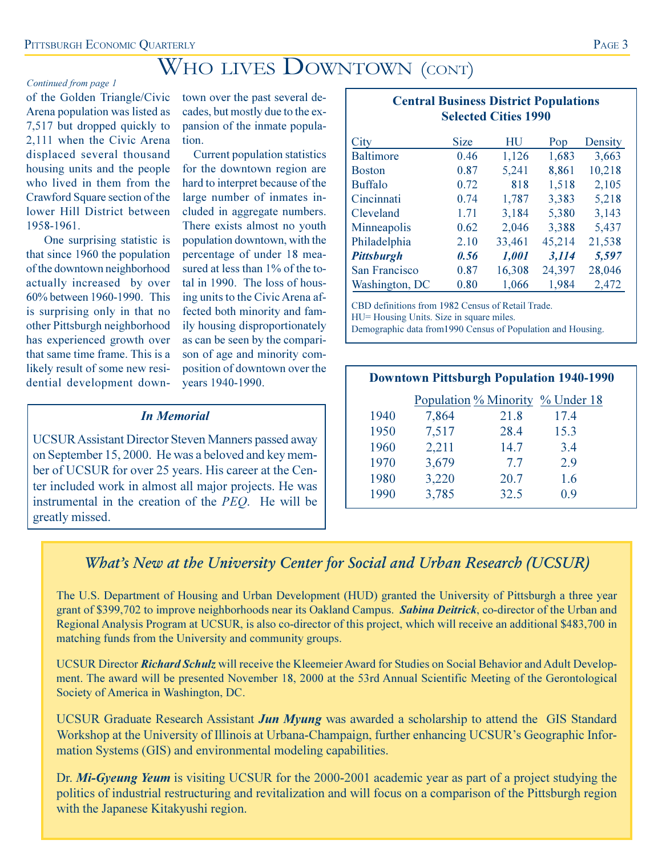# WHO LIVES DOWNTOWN (CONT)

### Continued from page 1

of the Golden Triangle/Civic Arena population was listed as 7,517 but dropped quickly to 2,111 when the Civic Arena displaced several thousand housing units and the people who lived in them from the Crawford Square section of the lower Hill District between 1958-1961.

One surprising statistic is that since 1960 the population of the downtown neighborhood actually increased by over 60% between 1960-1990. This is surprising only in that no other Pittsburgh neighborhood has experienced growth over that same time frame. This is a likely result of some new residential development down-

town over the past several decades, but mostly due to the expansion of the inmate population.

**Current population statistics** for the downtown region are hard to interpret because of the large number of inmates included in aggregate numbers. There exists almost no youth population downtown, with the percentage of under 18 measured at less than 1% of the total in 1990. The loss of housing units to the Civic Arena affected both minority and family housing disproportionately as can be seen by the comparison of age and minority composition of downtown over the years 1940-1990.

### **In Memorial**

**UCSUR Assistant Director Steven Manners passed away** on September 15, 2000. He was a beloved and key member of UCSUR for over 25 years. His career at the Center included work in almost all major projects. He was instrumental in the creation of the PEQ. He will be greatly missed.

### **Central Business District Populations Selected Cities 1990**

|                   | Size | HU     |        | Density |
|-------------------|------|--------|--------|---------|
| City              |      |        | Pop    |         |
| <b>Baltimore</b>  | 0.46 | 1,126  | 1,683  | 3,663   |
| <b>Boston</b>     | 0.87 | 5,241  | 8,861  | 10,218  |
| <b>Buffalo</b>    | 0.72 | 818    | 1,518  | 2,105   |
| Cincinnati        | 0.74 | 1,787  | 3,383  | 5,218   |
| Cleveland         | 1.71 | 3,184  | 5,380  | 3,143   |
| Minneapolis       | 0.62 | 2,046  | 3,388  | 5,437   |
| Philadelphia      | 2.10 | 33,461 | 45,214 | 21,538  |
| <b>Pittsburgh</b> | 0.56 | 1,001  | 3,114  | 5,597   |
| San Francisco     | 0.87 | 16,308 | 24,397 | 28,046  |
| Washington, DC    | 0.80 | 1,066  | 1,984  | 2,472   |
|                   |      |        |        |         |

CBD definitions from 1982 Census of Retail Trade.

HU= Housing Units. Size in square miles.

Demographic data from 1990 Census of Population and Housing.

|      | <b>Downtown Pittsburgh Population 1940-1990</b> |      |                                         |  |  |  |  |  |
|------|-------------------------------------------------|------|-----------------------------------------|--|--|--|--|--|
|      |                                                 |      | <u>Population % Minority % Under 18</u> |  |  |  |  |  |
| 1940 | 7,864                                           | 21.8 | 17.4                                    |  |  |  |  |  |
| 1950 | 7,517                                           | 28.4 | 15.3                                    |  |  |  |  |  |
| 1960 | 2,211                                           | 14.7 | 3.4                                     |  |  |  |  |  |
| 1970 | 3,679                                           | 7.7  | 2.9                                     |  |  |  |  |  |
| 1980 | 3,220                                           | 20.7 | 1.6                                     |  |  |  |  |  |
| 1990 | 3,785                                           | 32.5 | 0.9                                     |  |  |  |  |  |

### What's New at the University Center for Social and Urban Research (UCSUR)

The U.S. Department of Housing and Urban Development (HUD) granted the University of Pittsburgh a three year grant of \$399,702 to improve neighborhoods near its Oakland Campus. Sabina Deitrick, co-director of the Urban and Regional Analysis Program at UCSUR, is also co-director of this project, which will receive an additional \$483,700 in matching funds from the University and community groups.

UCSUR Director Richard Schulz will receive the Kleemeier Award for Studies on Social Behavior and Adult Development. The award will be presented November 18, 2000 at the 53rd Annual Scientific Meeting of the Gerontological Society of America in Washington, DC.

UCSUR Graduate Research Assistant **Jun Myung** was awarded a scholarship to attend the GIS Standard Workshop at the University of Illinois at Urbana-Champaign, further enhancing UCSUR's Geographic Information Systems (GIS) and environmental modeling capabilities.

Dr. Mi-Gyeung Yeum is visiting UCSUR for the 2000-2001 academic year as part of a project studying the politics of industrial restructuring and revitalization and will focus on a comparison of the Pittsburgh region with the Japanese Kitakyushi region.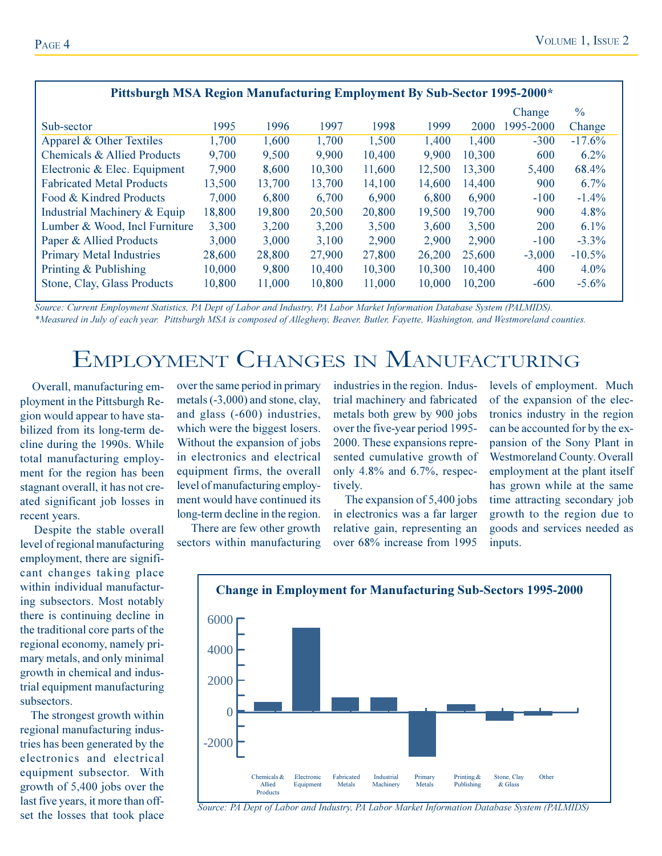| Pittsburgh MSA Region Manufacturing Employment By Sub-Sector 1995-2000* |        |        |        |        |        |        |           |               |
|-------------------------------------------------------------------------|--------|--------|--------|--------|--------|--------|-----------|---------------|
|                                                                         |        |        |        |        |        |        | Change    | $\frac{0}{0}$ |
| Sub-sector                                                              | 1995   | 1996   | 1997   | 1998   | 1999   | 2000   | 1995-2000 | Change        |
| Apparel & Other Textiles                                                | 1,700  | 1,600  | 1,700  | 1,500  | 1,400  | 1,400  | $-300$    | $-17.6%$      |
| Chemicals & Allied Products                                             | 9,700  | 9,500  | 9,900  | 10,400 | 9,900  | 10,300 | 600       | $6.2\%$       |
| Electronic & Elec. Equipment                                            | 7,900  | 8,600  | 10,300 | 11,600 | 12,500 | 13,300 | 5,400     | 68.4%         |
| <b>Fabricated Metal Products</b>                                        | 13,500 | 13,700 | 13,700 | 14,100 | 14,600 | 14,400 | 900       | $6.7\%$       |
| Food & Kindred Products                                                 | 7,000  | 6,800  | 6,700  | 6,900  | 6,800  | 6,900  | $-100$    | $-1.4\%$      |
| Industrial Machinery & Equip                                            | 18,800 | 19,800 | 20,500 | 20,800 | 19,500 | 19,700 | 900       | 4.8%          |
| Lumber & Wood, Incl Furniture                                           | 3,300  | 3,200  | 3,200  | 3,500  | 3,600  | 3,500  | 200       | $6.1\%$       |
| Paper & Allied Products                                                 | 3,000  | 3,000  | 3,100  | 2,900  | 2,900  | 2,900  | $-100$    | $-3.3\%$      |
| <b>Primary Metal Industries</b>                                         | 28,600 | 28,800 | 27,900 | 27,800 | 26,200 | 25,600 | $-3,000$  | $-10.5%$      |
| Printing & Publishing                                                   | 10,000 | 9,800  | 10,400 | 10,300 | 10,300 | 10,400 | 400       | $4.0\%$       |
| Stone, Clay, Glass Products                                             | 10,800 | 11,000 | 10,800 | 11,000 | 10,000 | 10,200 | $-600$    | $-5.6\%$      |

Source: Current Employment Statistics, PA Dept of Labor and Industry, PA Labor Market Information Database System (PALMIDS). \*Measured in July of each year. Pittsburgh MSA is composed of Allegheny, Beaver, Butler, Fayette, Washington, and Westmoreland counties.

# EMPLOYMENT CHANGES IN MANUFACTURING

Overall, manufacturing employment in the Pittsburgh Region would appear to have stabilized from its long-term decline during the 1990s. While total manufacturing employment for the region has been stagnant overall, it has not created significant job losses in recent years.

Despite the stable overall level of regional manufacturing employment, there are significant changes taking place within individual manufacturing subsectors. Most notably there is continuing decline in the traditional core parts of the regional economy, namely primary metals, and only minimal growth in chemical and industrial equipment manufacturing subsectors.

The strongest growth within regional manufacturing industries has been generated by the electronics and electrical equipment subsector. With growth of 5,400 jobs over the last five years, it more than offset the losses that took place over the same period in primary metals (-3,000) and stone, clay, and glass (-600) industries, which were the biggest losers. Without the expansion of jobs in electronics and electrical equipment firms, the overall level of manufacturing employment would have continued its long-term decline in the region.

There are few other growth sectors within manufacturing industries in the region. Industrial machinery and fabricated metals both grew by 900 jobs over the five-year period 1995-2000. These expansions represented cumulative growth of only  $4.8\%$  and  $6.7\%$ , respectively.

The expansion of 5,400 jobs in electronics was a far larger relative gain, representing an over 68% increase from 1995

levels of employment. Much of the expansion of the electronics industry in the region can be accounted for by the expansion of the Sony Plant in **Westmoreland County. Overall** employment at the plant itself has grown while at the same time attracting secondary job growth to the region due to goods and services needed as inputs.



Source: PA Dept of Labor and Industry, PA Labor Market Information Database System (PALMIDS)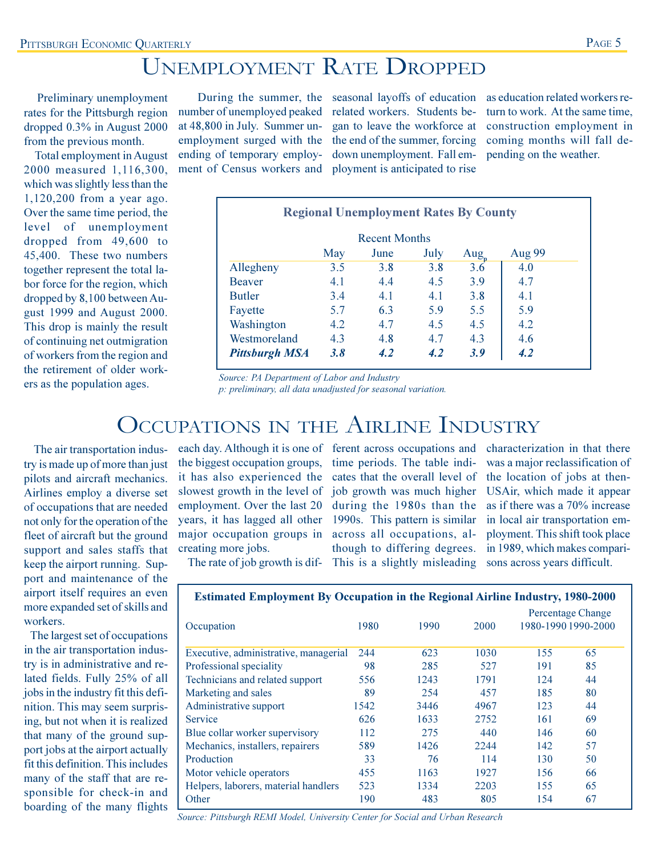# **UNEMPLOYMENT RATE DROPPED**

Preliminary unemployment rates for the Pittsburgh region dropped 0.3% in August 2000 from the previous month.

**Total employment in August** 2000 measured 1,116,300, which was slightly less than the  $1,120,200$  from a year ago. Over the same time period, the level of unemployment dropped from 49,600 to 45,400. These two numbers together represent the total labor force for the region, which dropped by 8,100 between August 1999 and August 2000. This drop is mainly the result of continuing net outmigration of workers from the region and the retirement of older workers as the population ages.

number of unemployed peaked at 48,800 in July. Summer unemployment surged with the ending of temporary employment of Census workers and

related workers. Students began to leave the workforce at the end of the summer, forcing down unemployment. Fall employment is anticipated to rise

During the summer, the seasonal layoffs of education as education related workers return to work. At the same time. construction employment in coming months will fall depending on the weather.

| <b>Regional Unemployment Rates By County</b> |     |                      |      |                  |               |
|----------------------------------------------|-----|----------------------|------|------------------|---------------|
|                                              |     | <b>Recent Months</b> |      |                  |               |
|                                              | May | June                 | July | $\text{Aug}_{n}$ | <b>Aug 99</b> |
| Allegheny                                    | 3.5 | 3.8                  | 3.8  | 3.6              | 4.0           |
| <b>Beaver</b>                                | 4.1 | 4.4                  | 4.5  | 3.9              | 4.7           |
| <b>Butler</b>                                | 3.4 | 4.1                  | 4.1  | 3.8              | 4.1           |
| Fayette                                      | 5.7 | 6.3                  | 5.9  | 5.5              | 5.9           |
| Washington                                   | 4.2 | 4.7                  | 4.5  | 4.5              | 4.2           |
| Westmoreland                                 | 4.3 | 4.8                  | 4.7  | 4.3              | 4.6           |
| <b>Pittsburgh MSA</b>                        | 3.8 | 4.2                  | 4.2  | 3.9              | 4.2           |

Source: PA Department of Labor and Industry p: preliminary, all data unadjusted for seasonal variation.

## OCCUPATIONS IN THE AIRLINE INDUSTRY

The air transportation industry is made up of more than just pilots and aircraft mechanics. Airlines employ a diverse set of occupations that are needed not only for the operation of the fleet of aircraft but the ground support and sales staffs that keep the airport running. Support and maintenance of the airport itself requires an even more expanded set of skills and workers.

The largest set of occupations in the air transportation industry is in administrative and related fields. Fully 25% of all jobs in the industry fit this definition. This may seem surprising, but not when it is realized that many of the ground support jobs at the airport actually fit this definition. This includes many of the staff that are responsible for check-in and boarding of the many flights

each day. Although it is one of ferent across occupations and the biggest occupation groups, time periods. The table indiit has also experienced the cates that the overall level of slowest growth in the level of job growth was much higher employment. Over the last 20 during the 1980s than the years, it has lagged all other 1990s. This pattern is similar major occupation groups in across all occupations, alcreating more jobs.

though to differing degrees. This is a slightly misleading sons across years difficult.

characterization in that there was a major reclassification of the location of jobs at then-USAir, which made it appear as if there was a 70% increase in local air transportation employment. This shift took place in 1989, which makes compari-

| The rate of job growth is dif- |  |  |  |
|--------------------------------|--|--|--|
|--------------------------------|--|--|--|

| <b>Estimated Employment By Occupation in the Regional Airline Industry, 1980-2000</b> |  |  |  |  |  |
|---------------------------------------------------------------------------------------|--|--|--|--|--|
|                                                                                       |  |  |  |  |  |

| Occupation                            | 1980 | 1990 | 2000  | 1980-1990 1990-2000 | <b>Percentage Change</b> |
|---------------------------------------|------|------|-------|---------------------|--------------------------|
| Executive, administrative, managerial | 244  | 623  | 1030  | 155                 | 65                       |
| Professional speciality               | 98   | 285  | 527   | 191                 | 85                       |
| Technicians and related support       | 556  | 1243 | 1791  | 124                 | 44                       |
| Marketing and sales                   | 89   | 254  | 457   | 185                 | 80                       |
| Administrative support                | 1542 | 3446 | 4967  | 123                 | 44                       |
| <b>Service</b>                        | 626  | 1633 | 2752  | 161                 | 69                       |
| Blue collar worker supervisory        | 112  | 275  | 440   | 146                 | 60                       |
| Mechanics, installers, repairers      | 589  | 1426 | 22.44 | 142                 | 57                       |
| Production                            | 33   | 76   | 114   | 130                 | 50                       |
| Motor vehicle operators               | 455  | 1163 | 1927  | 156                 | 66                       |
| Helpers, laborers, material handlers  | 523  | 1334 | 2203  | 155                 | 65                       |
| Other                                 | 190  | 483  | 805   | 154                 | 67                       |

Source: Pittsburgh REMI Model, University Center for Social and Urban Research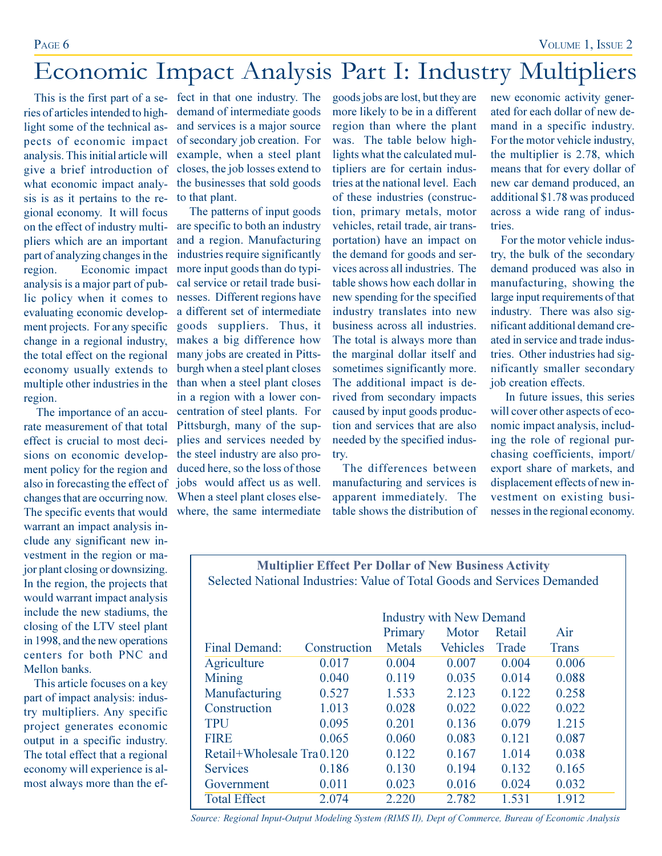# Economic Impact Analysis Part I: Industry Multipliers

ries of articles intended to highlight some of the technical aspects of economic impact analysis. This initial article will give a brief introduction of what economic impact analysis is as it pertains to the regional economy. It will focus on the effect of industry multipliers which are an important part of analyzing changes in the Economic impact region. analysis is a major part of public policy when it comes to evaluating economic development projects. For any specific change in a regional industry, the total effect on the regional economy usually extends to multiple other industries in the region.

The importance of an accurate measurement of that total effect is crucial to most decisions on economic development policy for the region and also in forecasting the effect of changes that are occurring now. The specific events that would warrant an impact analysis include any significant new investment in the region or major plant closing or downsizing. In the region, the projects that would warrant impact analysis include the new stadiums, the closing of the LTV steel plant in 1998, and the new operations centers for both PNC and Mellon banks

This article focuses on a key part of impact analysis: industry multipliers. Any specific project generates economic output in a specific industry. The total effect that a regional economy will experience is almost always more than the ef-

This is the first part of a se- fect in that one industry. The demand of intermediate goods and services is a major source of secondary job creation. For example, when a steel plant closes, the job losses extend to the businesses that sold goods to that plant.

> The patterns of input goods are specific to both an industry and a region. Manufacturing industries require significantly more input goods than do typical service or retail trade businesses. Different regions have a different set of intermediate goods suppliers. Thus, it makes a big difference how many jobs are created in Pittsburgh when a steel plant closes than when a steel plant closes in a region with a lower concentration of steel plants. For Pittsburgh, many of the supplies and services needed by the steel industry are also produced here, so the loss of those jobs would affect us as well. When a steel plant closes elsewhere, the same intermediate

goods jobs are lost, but they are more likely to be in a different region than where the plant was. The table below highlights what the calculated multipliers are for certain industries at the national level. Each of these industries (construction, primary metals, motor vehicles, retail trade, air transportation) have an impact on the demand for goods and services across all industries. The table shows how each dollar in new spending for the specified industry translates into new business across all industries. The total is always more than the marginal dollar itself and sometimes significantly more. The additional impact is derived from secondary impacts caused by input goods production and services that are also needed by the specified industrv.

The differences between manufacturing and services is apparent immediately. The table shows the distribution of new economic activity generated for each dollar of new demand in a specific industry. For the motor vehicle industry, the multiplier is 2.78, which means that for every dollar of new car demand produced, an additional \$1.78 was produced across a wide rang of industries.

For the motor vehicle industry, the bulk of the secondary demand produced was also in manufacturing, showing the large input requirements of that industry. There was also significant additional demand created in service and trade industries. Other industries had significantly smaller secondary job creation effects.

In future issues, this series will cover other aspects of economic impact analysis, including the role of regional purchasing coefficients, import/ export share of markets, and displacement effects of new investment on existing businesses in the regional economy.

### **Multiplier Effect Per Dollar of New Business Activity** Selected National Industries: Value of Total Goods and Services Demanded

|                           | <b>Industry with New Demand</b> |         |                 |        |              |  |  |
|---------------------------|---------------------------------|---------|-----------------|--------|--------------|--|--|
|                           |                                 | Primary | Motor           | Retail | Air          |  |  |
| Final Demand:             | Construction                    | Metals  | <b>Vehicles</b> | Trade  | <b>Trans</b> |  |  |
| Agriculture               | 0.017                           | 0.004   | 0.007           | 0.004  | 0.006        |  |  |
| Mining                    | 0.040                           | 0.119   | 0.035           | 0.014  | 0.088        |  |  |
| Manufacturing             | 0.527                           | 1.533   | 2.123           | 0.122  | 0.258        |  |  |
| Construction              | 1.013                           | 0.028   | 0.022           | 0.022  | 0.022        |  |  |
| <b>TPU</b>                | 0.095                           | 0.201   | 0.136           | 0.079  | 1.215        |  |  |
| <b>FIRE</b>               | 0.065                           | 0.060   | 0.083           | 0.121  | 0.087        |  |  |
| Retail+Wholesale Tra0.120 |                                 | 0.122   | 0.167           | 1.014  | 0.038        |  |  |
| <b>Services</b>           | 0.186                           | 0.130   | 0.194           | 0.132  | 0.165        |  |  |
| Government                | 0.011                           | 0.023   | 0.016           | 0.024  | 0.032        |  |  |
| <b>Total Effect</b>       | 2.074                           | 2.220   | 2.782           | 1.531  | 1.912        |  |  |

Source: Regional Input-Output Modeling System (RIMS II), Dept of Commerce, Bureau of Economic Analysis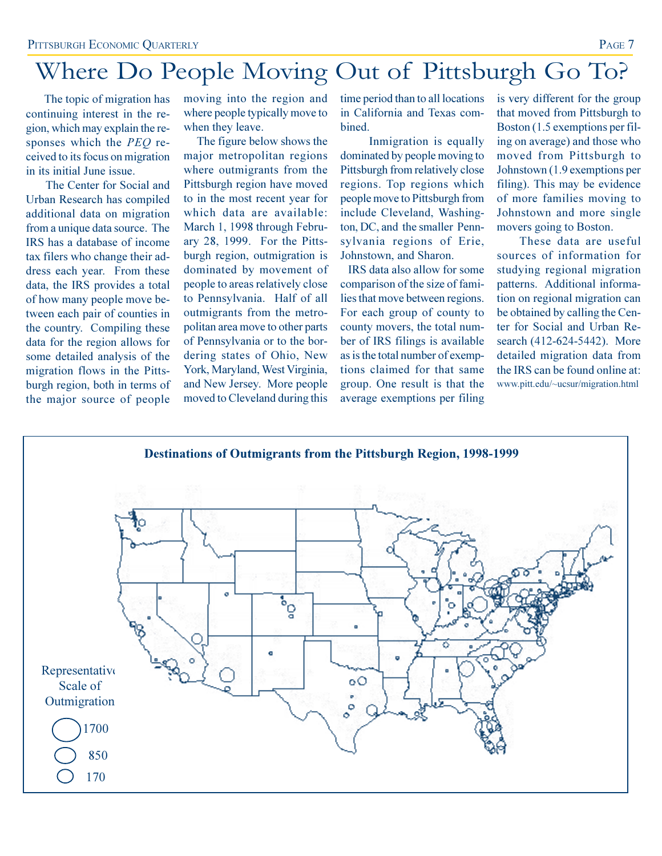# Where Do People Moving Out of Pittsburgh Go To?

The topic of migration has continuing interest in the region, which may explain the responses which the PEQ received to its focus on migration in its initial June issue.

The Center for Social and Urban Research has compiled additional data on migration from a unique data source. The IRS has a database of income tax filers who change their address each year. From these data, the IRS provides a total of how many people move between each pair of counties in the country. Compiling these data for the region allows for some detailed analysis of the migration flows in the Pittsburgh region, both in terms of the major source of people moving into the region and where people typically move to when they leave.

The figure below shows the major metropolitan regions where outmigrants from the Pittsburgh region have moved to in the most recent year for which data are available: March 1, 1998 through February 28, 1999. For the Pittsburgh region, outmigration is dominated by movement of people to areas relatively close to Pennsylvania. Half of all outmigrants from the metropolitan area move to other parts of Pennsylvania or to the bordering states of Ohio, New York, Maryland, West Virginia, and New Jersey. More people moved to Cleveland during this

time period than to all locations in California and Texas com**bined** 

Inmigration is equally dominated by people moving to Pittsburgh from relatively close regions. Top regions which people move to Pittsburgh from include Cleveland, Washington, DC, and the smaller Pennsylvania regions of Erie, Johnstown, and Sharon.

IRS data also allow for some comparison of the size of families that move between regions. For each group of county to county movers, the total number of IRS filings is available as is the total number of exemptions claimed for that same group. One result is that the average exemptions per filing is very different for the group that moved from Pittsburgh to Boston (1.5 exemptions per filing on average) and those who moved from Pittsburgh to Johnstown (1.9 exemptions per filing). This may be evidence of more families moving to Johnstown and more single movers going to Boston.

These data are useful sources of information for studying regional migration patterns. Additional information on regional migration can be obtained by calling the Center for Social and Urban Research (412-624-5442). More detailed migration data from the IRS can be found online at: www.pitt.edu/~ucsur/migration.html